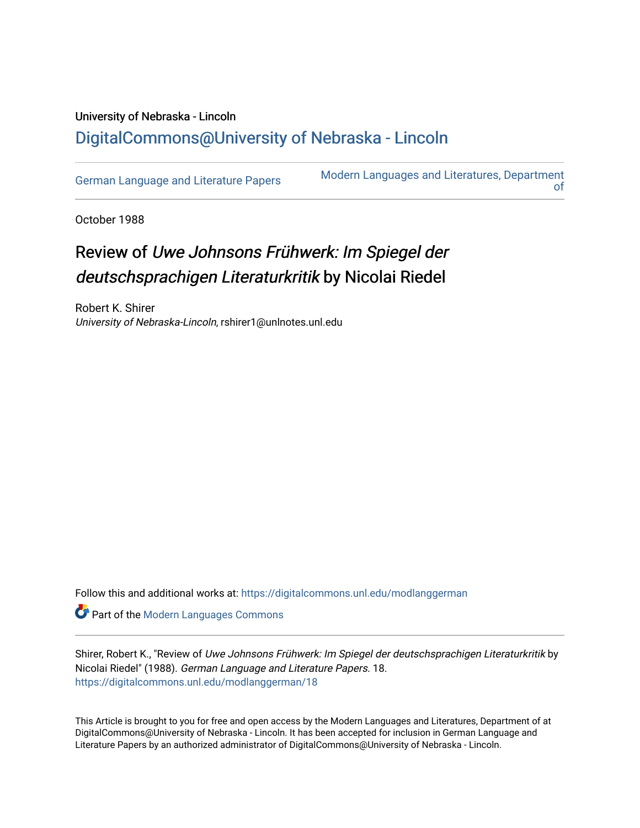## University of Nebraska - Lincoln [DigitalCommons@University of Nebraska - Lincoln](https://digitalcommons.unl.edu/)

[German Language and Literature Papers](https://digitalcommons.unl.edu/modlanggerman) Modern Languages and Literatures, Department [of](https://digitalcommons.unl.edu/modernlanguages) 

October 1988

## Review of Uwe Johnsons Frühwerk: Im Spiegel der deutschsprachigen Literaturkritik by Nicolai Riedel

Robert K. Shirer University of Nebraska-Lincoln, rshirer1@unlnotes.unl.edu

Follow this and additional works at: [https://digitalcommons.unl.edu/modlanggerman](https://digitalcommons.unl.edu/modlanggerman?utm_source=digitalcommons.unl.edu%2Fmodlanggerman%2F18&utm_medium=PDF&utm_campaign=PDFCoverPages) 

Part of the [Modern Languages Commons](http://network.bepress.com/hgg/discipline/1130?utm_source=digitalcommons.unl.edu%2Fmodlanggerman%2F18&utm_medium=PDF&utm_campaign=PDFCoverPages) 

Shirer, Robert K., "Review of Uwe Johnsons Frühwerk: Im Spiegel der deutschsprachigen Literaturkritik by Nicolai Riedel" (1988). German Language and Literature Papers. 18. [https://digitalcommons.unl.edu/modlanggerman/18](https://digitalcommons.unl.edu/modlanggerman/18?utm_source=digitalcommons.unl.edu%2Fmodlanggerman%2F18&utm_medium=PDF&utm_campaign=PDFCoverPages)

This Article is brought to you for free and open access by the Modern Languages and Literatures, Department of at DigitalCommons@University of Nebraska - Lincoln. It has been accepted for inclusion in German Language and Literature Papers by an authorized administrator of DigitalCommons@University of Nebraska - Lincoln.